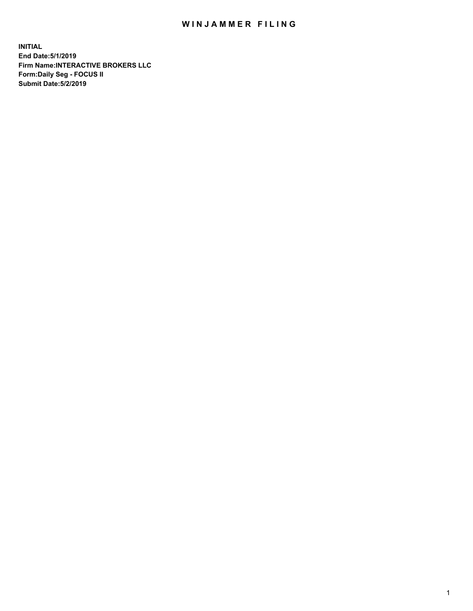## WIN JAMMER FILING

**INITIAL End Date:5/1/2019 Firm Name:INTERACTIVE BROKERS LLC Form:Daily Seg - FOCUS II Submit Date:5/2/2019**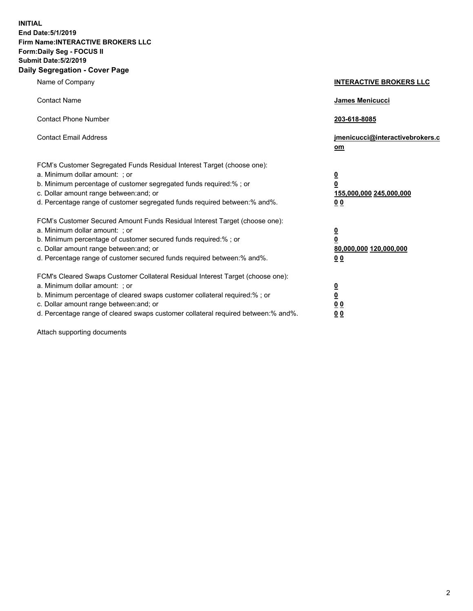**INITIAL End Date:5/1/2019 Firm Name:INTERACTIVE BROKERS LLC Form:Daily Seg - FOCUS II Submit Date:5/2/2019 Daily Segregation - Cover Page**

| Name of Company                                                                                                                                                                                                                                                                                                                | <b>INTERACTIVE BROKERS LLC</b>                                                                  |
|--------------------------------------------------------------------------------------------------------------------------------------------------------------------------------------------------------------------------------------------------------------------------------------------------------------------------------|-------------------------------------------------------------------------------------------------|
| <b>Contact Name</b>                                                                                                                                                                                                                                                                                                            | <b>James Menicucci</b>                                                                          |
| <b>Contact Phone Number</b>                                                                                                                                                                                                                                                                                                    | 203-618-8085                                                                                    |
| <b>Contact Email Address</b>                                                                                                                                                                                                                                                                                                   | jmenicucci@interactivebrokers.c<br>om                                                           |
| FCM's Customer Segregated Funds Residual Interest Target (choose one):<br>a. Minimum dollar amount: ; or<br>b. Minimum percentage of customer segregated funds required:% ; or<br>c. Dollar amount range between: and; or<br>d. Percentage range of customer segregated funds required between:% and%.                         | $\overline{\mathbf{0}}$<br>$\overline{\mathbf{0}}$<br>155,000,000 245,000,000<br>0 <sub>0</sub> |
| FCM's Customer Secured Amount Funds Residual Interest Target (choose one):<br>a. Minimum dollar amount: ; or<br>b. Minimum percentage of customer secured funds required:%; or<br>c. Dollar amount range between: and; or<br>d. Percentage range of customer secured funds required between:% and%.                            | $\overline{\mathbf{0}}$<br>$\mathbf 0$<br>80,000,000 120,000,000<br>0 <sub>0</sub>              |
| FCM's Cleared Swaps Customer Collateral Residual Interest Target (choose one):<br>a. Minimum dollar amount: ; or<br>b. Minimum percentage of cleared swaps customer collateral required:% ; or<br>c. Dollar amount range between: and; or<br>d. Percentage range of cleared swaps customer collateral required between:% and%. | $\overline{\mathbf{0}}$<br>$\underline{\mathbf{0}}$<br>0 <sub>0</sub><br>00                     |

Attach supporting documents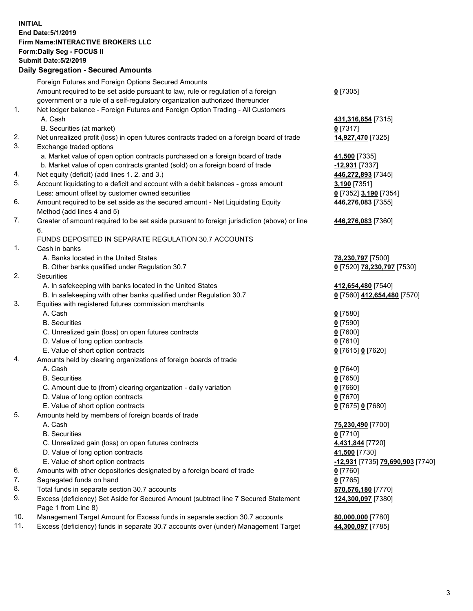## **INITIAL End Date:5/1/2019 Firm Name:INTERACTIVE BROKERS LLC Form:Daily Seg - FOCUS II Submit Date:5/2/2019 Daily Segregation - Secured Amounts**

|     | 2011, Ocgi ogation - Oceaned Anioanita                                                      |                                                            |
|-----|---------------------------------------------------------------------------------------------|------------------------------------------------------------|
|     | Foreign Futures and Foreign Options Secured Amounts                                         |                                                            |
|     | Amount required to be set aside pursuant to law, rule or regulation of a foreign            | $0$ [7305]                                                 |
|     | government or a rule of a self-regulatory organization authorized thereunder                |                                                            |
| 1.  | Net ledger balance - Foreign Futures and Foreign Option Trading - All Customers             |                                                            |
|     | A. Cash                                                                                     | 431,316,854 [7315]                                         |
|     | B. Securities (at market)                                                                   | $0$ [7317]                                                 |
| 2.  | Net unrealized profit (loss) in open futures contracts traded on a foreign board of trade   | 14,927,470 [7325]                                          |
| 3.  | Exchange traded options                                                                     |                                                            |
|     | a. Market value of open option contracts purchased on a foreign board of trade              | 41,500 [7335]                                              |
|     | b. Market value of open contracts granted (sold) on a foreign board of trade                | -12,931 [7337]                                             |
| 4.  | Net equity (deficit) (add lines 1. 2. and 3.)                                               | 446,272,893 [7345]                                         |
| 5.  | Account liquidating to a deficit and account with a debit balances - gross amount           | 3,190 [7351]                                               |
|     | Less: amount offset by customer owned securities                                            | 0 [7352] 3,190 [7354]                                      |
| 6.  | Amount required to be set aside as the secured amount - Net Liquidating Equity              | 446,276,083 [7355]                                         |
|     | Method (add lines 4 and 5)                                                                  |                                                            |
| 7.  | Greater of amount required to be set aside pursuant to foreign jurisdiction (above) or line | 446,276,083 [7360]                                         |
|     | 6.                                                                                          |                                                            |
|     | FUNDS DEPOSITED IN SEPARATE REGULATION 30.7 ACCOUNTS                                        |                                                            |
| 1.  | Cash in banks                                                                               |                                                            |
|     | A. Banks located in the United States                                                       | 78,230,797 [7500]                                          |
|     | B. Other banks qualified under Regulation 30.7                                              | 0 [7520] 78,230,797 [7530]                                 |
| 2.  | Securities                                                                                  |                                                            |
|     | A. In safekeeping with banks located in the United States                                   | 412,654,480 [7540]                                         |
|     | B. In safekeeping with other banks qualified under Regulation 30.7                          | 0 [7560] 412,654,480 [7570]                                |
| 3.  | Equities with registered futures commission merchants                                       |                                                            |
|     | A. Cash                                                                                     | $0$ [7580]                                                 |
|     | <b>B.</b> Securities                                                                        | $0$ [7590]                                                 |
|     | C. Unrealized gain (loss) on open futures contracts                                         | $0$ [7600]                                                 |
|     | D. Value of long option contracts                                                           | $0$ [7610]                                                 |
|     | E. Value of short option contracts                                                          | 0 [7615] 0 [7620]                                          |
| 4.  | Amounts held by clearing organizations of foreign boards of trade                           |                                                            |
|     | A. Cash                                                                                     | $0$ [7640]                                                 |
|     | <b>B.</b> Securities                                                                        | $0$ [7650]                                                 |
|     | C. Amount due to (from) clearing organization - daily variation                             | $0$ [7660]                                                 |
|     | D. Value of long option contracts                                                           | $0$ [7670]                                                 |
|     | E. Value of short option contracts                                                          | 0 [7675] 0 [7680]                                          |
| 5.  | Amounts held by members of foreign boards of trade                                          |                                                            |
|     | A. Cash                                                                                     | 75,230,490 [7700]                                          |
|     | <b>B.</b> Securities                                                                        | $0$ [7710]                                                 |
|     | C. Unrealized gain (loss) on open futures contracts                                         | 4,431,844 [7720]                                           |
|     | D. Value of long option contracts                                                           | 41,500 [7730]                                              |
|     | E. Value of short option contracts                                                          | <mark>-12,931</mark> [7735] <mark>79,690,903</mark> [7740] |
| 6.  | Amounts with other depositories designated by a foreign board of trade                      | <u>0</u> [7760]                                            |
| 7.  | Segregated funds on hand                                                                    | $0$ [7765]                                                 |
| 8.  | Total funds in separate section 30.7 accounts                                               | 570,576,180 [7770]                                         |
| 9.  | Excess (deficiency) Set Aside for Secured Amount (subtract line 7 Secured Statement         | 124,300,097 [7380]                                         |
|     | Page 1 from Line 8)                                                                         |                                                            |
| 10. | Management Target Amount for Excess funds in separate section 30.7 accounts                 | 80,000,000 [7780]                                          |
| 11. | Excess (deficiency) funds in separate 30.7 accounts over (under) Management Target          | 44,300,097 [7785]                                          |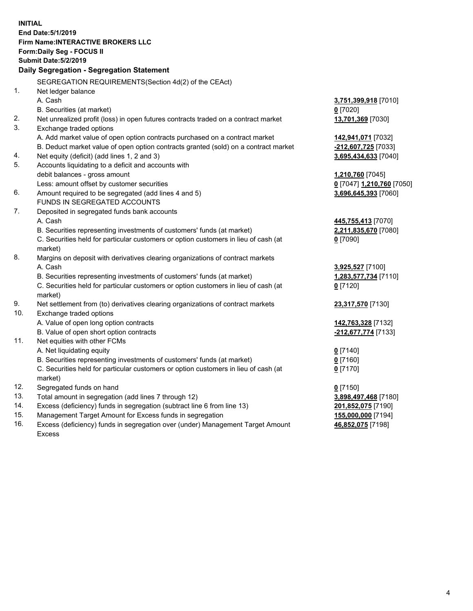| <b>INITIAL</b> |                                                                                     |                           |
|----------------|-------------------------------------------------------------------------------------|---------------------------|
|                | End Date: 5/1/2019                                                                  |                           |
|                | <b>Firm Name: INTERACTIVE BROKERS LLC</b>                                           |                           |
|                | Form: Daily Seg - FOCUS II                                                          |                           |
|                | <b>Submit Date: 5/2/2019</b>                                                        |                           |
|                | Daily Segregation - Segregation Statement                                           |                           |
|                | SEGREGATION REQUIREMENTS(Section 4d(2) of the CEAct)                                |                           |
| 1.             | Net ledger balance                                                                  |                           |
|                | A. Cash                                                                             | 3,751,399,918 [7010]      |
|                | B. Securities (at market)                                                           | $0$ [7020]                |
| 2.             | Net unrealized profit (loss) in open futures contracts traded on a contract market  | 13,701,369 [7030]         |
| 3.             | Exchange traded options                                                             |                           |
|                | A. Add market value of open option contracts purchased on a contract market         | 142,941,071 [7032]        |
|                | B. Deduct market value of open option contracts granted (sold) on a contract market | -212,607,725 [7033]       |
| 4.             | Net equity (deficit) (add lines 1, 2 and 3)                                         | 3,695,434,633 [7040]      |
| 5.             | Accounts liquidating to a deficit and accounts with                                 |                           |
|                | debit balances - gross amount                                                       | 1,210,760 [7045]          |
|                | Less: amount offset by customer securities                                          | 0 [7047] 1,210,760 [7050] |
| 6.             | Amount required to be segregated (add lines 4 and 5)                                | 3,696,645,393 [7060]      |
|                | FUNDS IN SEGREGATED ACCOUNTS                                                        |                           |
| 7.             | Deposited in segregated funds bank accounts                                         |                           |
|                | A. Cash                                                                             | 445,755,413 [7070]        |
|                | B. Securities representing investments of customers' funds (at market)              | 2,211,835,670 [7080]      |
|                | C. Securities held for particular customers or option customers in lieu of cash (at | $0$ [7090]                |
|                | market)                                                                             |                           |
| 8.             | Margins on deposit with derivatives clearing organizations of contract markets      |                           |
|                | A. Cash                                                                             | 3,925,527 [7100]          |
|                | B. Securities representing investments of customers' funds (at market)              | 1,283,577,734 [7110]      |
|                | C. Securities held for particular customers or option customers in lieu of cash (at | $0$ [7120]                |
|                | market)                                                                             |                           |
| 9.             | Net settlement from (to) derivatives clearing organizations of contract markets     | 23,317,570 [7130]         |
| 10.            | Exchange traded options                                                             |                           |
|                | A. Value of open long option contracts                                              | 142,763,328 [7132]        |
|                | B. Value of open short option contracts                                             | -212,677,774 [7133]       |
| 11.            | Net equities with other FCMs                                                        |                           |
|                | A. Net liquidating equity                                                           | $0$ [7140]                |
|                | B. Securities representing investments of customers' funds (at market)              | 0 [7160]                  |
|                | C. Securities held for particular customers or option customers in lieu of cash (at | $0$ [7170]                |
|                | market)                                                                             |                           |
| 12.            | Segregated funds on hand                                                            | $0$ [7150]                |
| 13.            | Total amount in segregation (add lines 7 through 12)                                | 3,898,497,468 [7180]      |
| 14.            | Excess (deficiency) funds in segregation (subtract line 6 from line 13)             | 201,852,075 [7190]        |
| 15.            | Management Target Amount for Excess funds in segregation                            | 155,000,000 [7194]        |
| 16.            | Excess (deficiency) funds in segregation over (under) Management Target Amount      | 46,852,075 [7198]         |

Excess